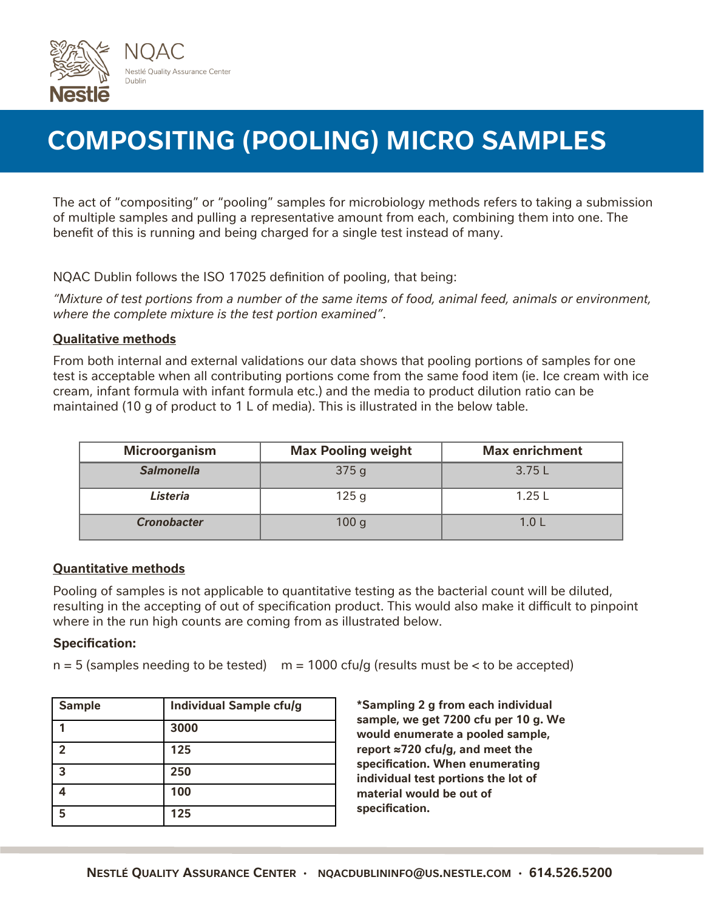

# **COMPOSITING (POOLING) MICRO SAMPLES**

The act of "compositing" or "pooling" samples for microbiology methods refers to taking a submission of multiple samples and pulling a representative amount from each, combining them into one. The benefit of this is running and being charged for a single test instead of many.

NQAC Dublin follows the ISO 17025 definition of pooling, that being:

*"Mixture of test portions from a number of the same items of food, animal feed, animals or environment, where the complete mixture is the test portion examined"*.

### **Qualitative methods**

From both internal and external validations our data shows that pooling portions of samples for one test is acceptable when all contributing portions come from the same food item (ie. Ice cream with ice cream, infant formula with infant formula etc.) and the media to product dilution ratio can be maintained (10 g of product to 1 L of media). This is illustrated in the below table.

| <b>Microorganism</b> | <b>Max Pooling weight</b> | <b>Max enrichment</b> |
|----------------------|---------------------------|-----------------------|
| <b>Salmonella</b>    | 375g                      | 3.75L                 |
| Listeria             | 125q                      | 1.25L                 |
| <b>Cronobacter</b>   | 100 <sub>g</sub>          | 1.0 L                 |

### **Quantitative methods**

Pooling of samples is not applicable to quantitative testing as the bacterial count will be diluted, resulting in the accepting of out of specification product. This would also make it difficult to pinpoint where in the run high counts are coming from as illustrated below.

### **Specification:**

 $n = 5$  (samples needing to be tested)  $m = 1000$  cfu/g (results must be  $\lt$  to be accepted)

| <b>Sample</b>  | <b>Individual Sample cfu/g</b> |
|----------------|--------------------------------|
|                | 3000                           |
| $\mathfrak{p}$ | 125                            |
| ູຊ             | 250                            |
|                | 100                            |
|                | 125                            |

**\*Sampling 2 g from each individual sample, we get 7200 cfu per 10 g. We would enumerate a pooled sample, report ≈720 cfu/g, and meet the specification. When enumerating individual test portions the lot of material would be out of specification.**